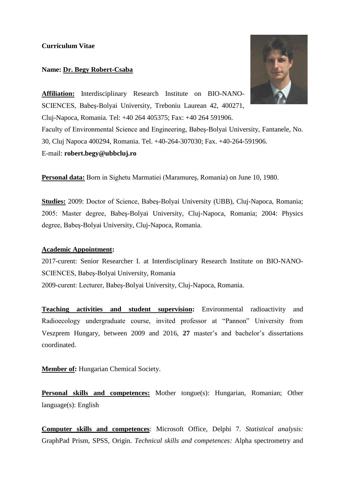### **Curriculum Vitae**

### **Name: Dr. Begy Robert-Csaba**



**Affiliation:** Interdisciplinary Research Institute on BIO-NANO-SCIENCES, Babeş-Bolyai University, Treboniu Laurean 42, 400271, Cluj-Napoca, Romania. Tel: +40 264 405375; Fax: +40 264 591906. Faculty of Environmental Science and Engineering, Babeş-Bolyai University, Fantanele, No. 30, Cluj Napoca 400294, Romania. Tel. +40-264-307030; Fax. +40-264-591906. E-mail: **robert.begy@ubbcluj.ro**

**Personal data:** Born in Sighetu Marmatiei (Maramureş, Romania) on June 10, 1980.

**Studies:** 2009: Doctor of Science, Babeş-Bolyai University (UBB), Cluj-Napoca, Romania; 2005: Master degree, Babeş-Bolyai University, Cluj-Napoca, Romania; 2004: Physics degree, Babeş-Bolyai University, Cluj-Napoca, Romania.

### **Academic Appointment:**

2017-curent: Senior Researcher I. at Interdisciplinary Research Institute on BIO-NANO-SCIENCES, Babeş-Bolyai University, Romania 2009-curent: Lecturer, Babeş-Bolyai University, Cluj-Napoca, Romania.

**Teaching activities and student supervision:** Environmental radioactivity and Radioecology undergraduate course, invited professor at "Pannon" University from Veszprem Hungary, between 2009 and 2016, **27** master's and bachelor's dissertations coordinated.

**Member of:** Hungarian Chemical Society.

**Personal skills and competences:** Mother tongue(s): Hungarian, Romanian; Other language(s): English

**Computer skills and competences**: Microsoft Office, Delphi 7. *Statistical analysis:* GraphPad Prism, SPSS, Origin. *Technical skills and competences:* Alpha spectrometry and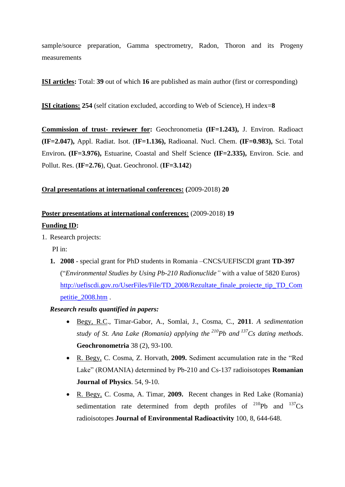sample/source preparation, Gamma spectrometry, Radon, Thoron and its Progeny measurements

**ISI articles:** Total: **39** out of which **16** are published as main author (first or corresponding)

**ISI citations: 254** (self citation excluded, according to Web of Science), H index=**8**

**Commission of trust- reviewer for:** Geochronometia **(IF=1.243),** J. Environ. Radioact **(IF=2.047),** Appl. Radiat. Isot. (**IF=1.136),** Radioanal. Nucl. Chem. **(IF=0.983),** Sci. Total Environ**. (IF=3.976),** Estuarine, Coastal and Shelf Science **(IF=2.335),** Environ. Scie. and Pollut. Res. (**IF=2.76**), Quat. Geochronol. (**IF=3.142**)

## **Oral presentations at international conferences: (**2009-2018) **20**

# **Poster presentations at international conferences:** (2009-2018) **19**

# **Funding ID:**

1. Research projects:

PI in:

- **1. 2008** special grant for PhD students in Romania –CNCS/UEFISCDI grant **TD-397** ("*Environmental Studies by Using Pb-210 Radionuclide"* with a value of 5820 Euros) [http://uefiscdi.gov.ro/UserFiles/File/TD\\_2008/Rezultate\\_finale\\_proiecte\\_tip\\_TD\\_Com](http://uefiscdi.gov.ro/UserFiles/File/TD_2008/Rezultate_finale_proiecte_tip_TD_Competitie_2008.htm) [petitie\\_2008.htm](http://uefiscdi.gov.ro/UserFiles/File/TD_2008/Rezultate_finale_proiecte_tip_TD_Competitie_2008.htm) .
- *Research results quantified in papers:*
	- Begy, R.C., Timar-Gabor, A., Somlai, J., Cosma, C., **2011**. *A sedimentation study of St. Ana Lake (Romania) applying the <sup>210</sup>Pb and <sup>137</sup>Cs dating methods*. **Geochronometria** 38 (2), 93-100.
	- R. Begy, C. Cosma, Z. Horvath, **2009.** Sediment accumulation rate in the "Red Lake" (ROMANIA) determined by Pb-210 and Cs-137 radioisotopes **Romanian Journal of Physics**. 54, 9-10.
	- R. Begy, C. Cosma, A. Timar, **2009.** Recent changes in Red Lake (Romania) sedimentation rate determined from depth profiles of  $^{210}Pb$  and  $^{137}Cs$ radioisotopes **Journal of Environmental Radioactivity** 100, 8, 644-648.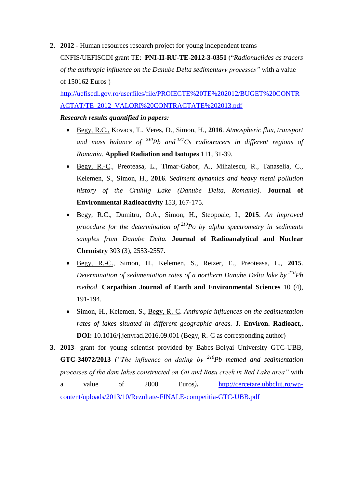**2. 2012** - Human resources research project for young independent teams CNFIS/UEFISCDI grant TE: **PNI-II-RU-TE-2012-3-0351** ("*Radionuclides as tracers of the anthropic influence on the Danube Delta sedimentary processes"* with a value of 150162 Euros )

[http://uefiscdi.gov.ro/userfiles/file/PROIECTE%20TE%202012/BUGET%20CONTR](http://uefiscdi.gov.ro/userfiles/file/PROIECTE%20TE%202012/BUGET%20CONTRACTAT/TE_2012_VALORI%20CONTRACTATE%202013.pdf) [ACTAT/TE\\_2012\\_VALORI%20CONTRACTATE%202013.pdf](http://uefiscdi.gov.ro/userfiles/file/PROIECTE%20TE%202012/BUGET%20CONTRACTAT/TE_2012_VALORI%20CONTRACTATE%202013.pdf)

### *Research results quantified in papers:*

- Begy, R.C., Kovacs, T., Veres, D., Simon, H., **2016**. *Atmospheric flux, transport and mass balance of <sup>210</sup>Pb and <sup>137</sup>Cs radiotracers in different regions of Romania*. **Applied Radiation and Isotopes** 111, 31-39.
- Begy, R.-C., Preoteasa, L., Timar-Gabor, A., Mihaiescu, R., Tanaselia, C., Kelemen, S., Simon, H., **2016**. *Sediment dynamics and heavy metal pollution history of the Cruhlig Lake (Danube Delta, Romania)*. **Journal of Environmental Radioactivity** 153, 167-175.
- Begy, R.C., Dumitru, O.A., Simon, H., Steopoaie, I., **2015**. *An improved procedure for the determination of <sup>210</sup>Po by alpha spectrometry in sediments samples from Danube Delta.* **Journal of Radioanalytical and Nuclear Chemistry** 303 (3), 2553-2557.
- Begy, R.-C., Simon, H., Kelemen, S., Reizer, E., Preoteasa, L., **2015**. *Determination of sedimentation rates of a northern Danube Delta lake by <sup>210</sup>Pb method*. **Carpathian Journal of Earth and Environmental Sciences** 10 (4), 191-194.
- Simon, H., Kelemen, S., Begy, R.-C. *Anthropic influences on the sedimentation rates of lakes situated in different geographic areas.* **J. Environ. Radioact,. DOI:** 10.1016/j.jenvrad.2016.09.001 (Begy, R.-C as corresponding author)
- **3. 2013-** grant for young scientist provided by Babes-Bolyai University GTC-UBB, **GTC-34072/2013** *("The influence on dating by <sup>210</sup>Pb method and sedimentation processes of the dam lakes constructed on Oii and Rosu creek in Red Lake area"* with a value of 2000 Euros*)***.** [http://cercetare.ubbcluj.ro/wp](http://cercetare.ubbcluj.ro/wp-content/uploads/2013/10/Rezultate-FINALE-competitia-GTC-UBB.pdf)[content/uploads/2013/10/Rezultate-FINALE-competitia-GTC-UBB.pdf](http://cercetare.ubbcluj.ro/wp-content/uploads/2013/10/Rezultate-FINALE-competitia-GTC-UBB.pdf)